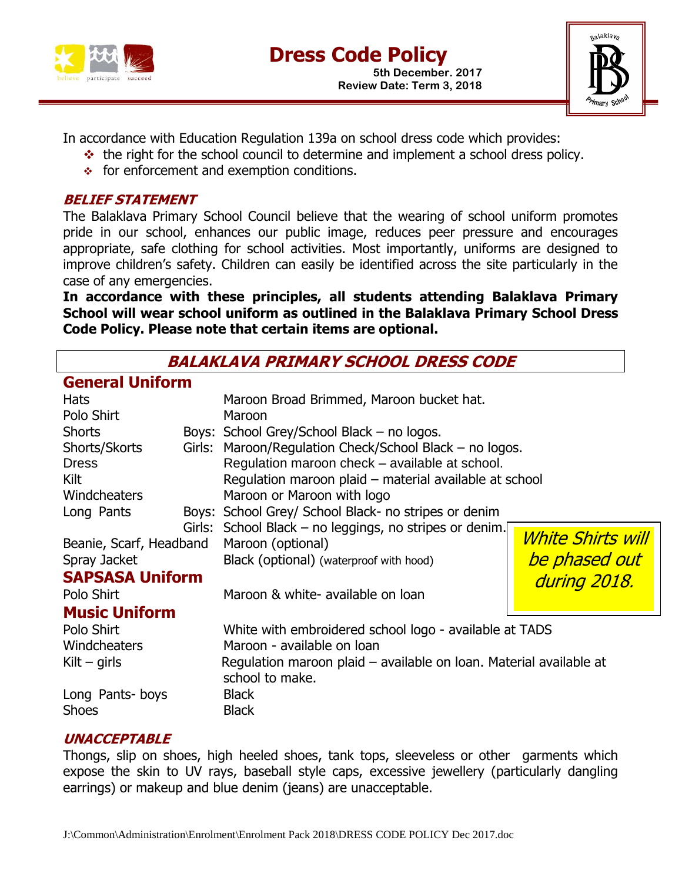



In accordance with Education Regulation 139a on school dress code which provides:

- $\cdot$  the right for the school council to determine and implement a school dress policy.
- $\div$  for enforcement and exemption conditions.

#### **BELIEF STATEMENT**

The Balaklava Primary School Council believe that the wearing of school uniform promotes pride in our school, enhances our public image, reduces peer pressure and encourages appropriate, safe clothing for school activities. Most importantly, uniforms are designed to improve children's safety. Children can easily be identified across the site particularly in the case of any emergencies.

**In accordance with these principles, all students attending Balaklava Primary School will wear school uniform as outlined in the Balaklava Primary School Dress Code Policy. Please note that certain items are optional.**

**BALAKLAVA PRIMARY SCHOOL DRESS CODE**

# **General Uniform**

| <b>Hats</b><br>Polo Shirt       |  | Maroon Broad Brimmed, Maroon bucket hat.<br>Maroon                                    |                          |
|---------------------------------|--|---------------------------------------------------------------------------------------|--------------------------|
| <b>Shorts</b>                   |  | Boys: School Grey/School Black – no logos.                                            |                          |
| Shorts/Skorts                   |  | Girls: Maroon/Regulation Check/School Black – no logos.                               |                          |
| <b>Dress</b>                    |  | Regulation maroon check - available at school.                                        |                          |
| Kilt                            |  | Regulation maroon plaid - material available at school                                |                          |
| Windcheaters                    |  | Maroon or Maroon with logo                                                            |                          |
| Long Pants                      |  | Boys: School Grey/ School Black- no stripes or denim                                  |                          |
|                                 |  | Girls: School Black – no leggings, no stripes or denim.                               |                          |
| Beanie, Scarf, Headband         |  | Maroon (optional)                                                                     | <b>White Shirts will</b> |
| Spray Jacket                    |  | Black (optional) (waterproof with hood)                                               | be phased out            |
| <b>SAPSASA Uniform</b>          |  |                                                                                       | during 2018.             |
| Polo Shirt                      |  | Maroon & white- available on loan                                                     |                          |
| <b>Music Uniform</b>            |  |                                                                                       |                          |
| Polo Shirt                      |  | White with embroidered school logo - available at TADS                                |                          |
| Windcheaters                    |  | Maroon - available on loan                                                            |                          |
| Kilt – girls                    |  | Regulation maroon plaid – available on Ioan. Material available at<br>school to make. |                          |
| Long Pants-boys<br><b>Shoes</b> |  | <b>Black</b><br><b>Black</b>                                                          |                          |

## **UNACCEPTABLE**

Thongs, slip on shoes, high heeled shoes, tank tops, sleeveless or other garments which expose the skin to UV rays, baseball style caps, excessive jewellery (particularly dangling earrings) or makeup and blue denim (jeans) are unacceptable.